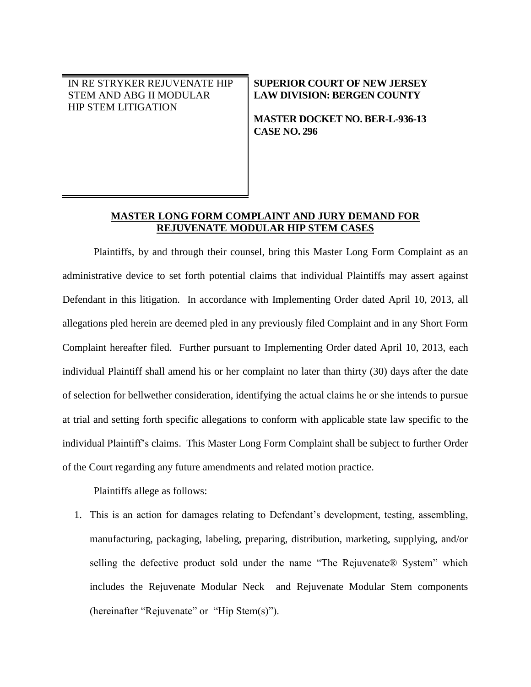IN RE STRYKER REJUVENATE HIP STEM AND ABG II MODULAR HIP STEM LITIGATION

### **SUPERIOR COURT OF NEW JERSEY LAW DIVISION: BERGEN COUNTY**

**MASTER DOCKET NO. BER-L-936-13 CASE NO. 296**

# **MASTER LONG FORM COMPLAINT AND JURY DEMAND FOR REJUVENATE MODULAR HIP STEM CASES**

Plaintiffs, by and through their counsel, bring this Master Long Form Complaint as an administrative device to set forth potential claims that individual Plaintiffs may assert against Defendant in this litigation. In accordance with Implementing Order dated April 10, 2013, all allegations pled herein are deemed pled in any previously filed Complaint and in any Short Form Complaint hereafter filed. Further pursuant to Implementing Order dated April 10, 2013, each individual Plaintiff shall amend his or her complaint no later than thirty (30) days after the date of selection for bellwether consideration, identifying the actual claims he or she intends to pursue at trial and setting forth specific allegations to conform with applicable state law specific to the individual Plaintiff's claims. This Master Long Form Complaint shall be subject to further Order of the Court regarding any future amendments and related motion practice.

Plaintiffs allege as follows:

1. This is an action for damages relating to Defendant's development, testing, assembling, manufacturing, packaging, labeling, preparing, distribution, marketing, supplying, and/or selling the defective product sold under the name "The Rejuvenate® System" which includes the Rejuvenate Modular Neck and Rejuvenate Modular Stem components (hereinafter "Rejuvenate" or "Hip Stem(s)").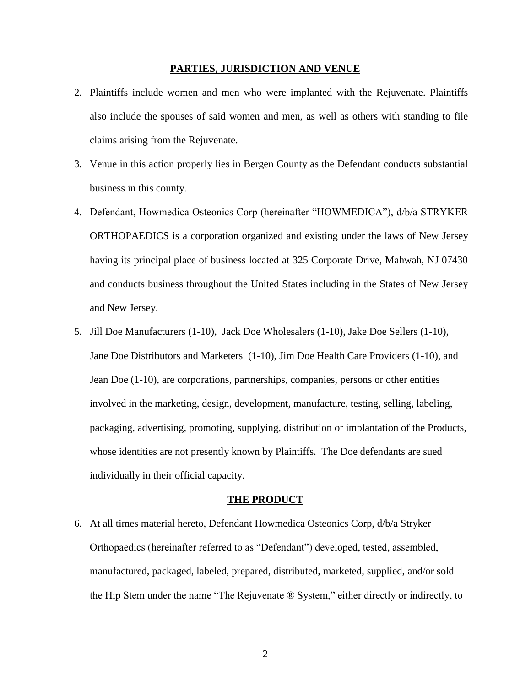#### **PARTIES, JURISDICTION AND VENUE**

- 2. Plaintiffs include women and men who were implanted with the Rejuvenate. Plaintiffs also include the spouses of said women and men, as well as others with standing to file claims arising from the Rejuvenate.
- 3. Venue in this action properly lies in Bergen County as the Defendant conducts substantial business in this county.
- 4. Defendant, Howmedica Osteonics Corp (hereinafter "HOWMEDICA"), d/b/a STRYKER ORTHOPAEDICS is a corporation organized and existing under the laws of New Jersey having its principal place of business located at 325 Corporate Drive, Mahwah, NJ 07430 and conducts business throughout the United States including in the States of New Jersey and New Jersey.
- 5. Jill Doe Manufacturers (1-10), Jack Doe Wholesalers (1-10), Jake Doe Sellers (1-10), Jane Doe Distributors and Marketers (1-10), Jim Doe Health Care Providers (1-10), and Jean Doe (1-10), are corporations, partnerships, companies, persons or other entities involved in the marketing, design, development, manufacture, testing, selling, labeling, packaging, advertising, promoting, supplying, distribution or implantation of the Products, whose identities are not presently known by Plaintiffs. The Doe defendants are sued individually in their official capacity.

#### **THE PRODUCT**

6. At all times material hereto, Defendant Howmedica Osteonics Corp, d/b/a Stryker Orthopaedics (hereinafter referred to as "Defendant") developed, tested, assembled, manufactured, packaged, labeled, prepared, distributed, marketed, supplied, and/or sold the Hip Stem under the name "The Rejuvenate ® System," either directly or indirectly, to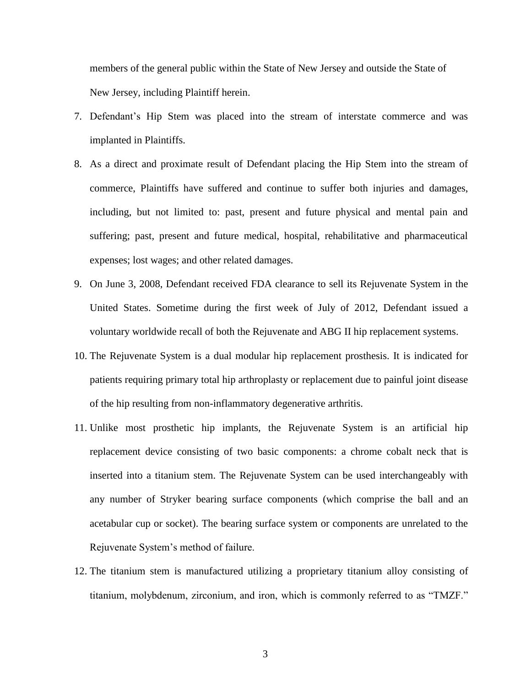members of the general public within the State of New Jersey and outside the State of New Jersey, including Plaintiff herein.

- 7. Defendant's Hip Stem was placed into the stream of interstate commerce and was implanted in Plaintiffs.
- 8. As a direct and proximate result of Defendant placing the Hip Stem into the stream of commerce, Plaintiffs have suffered and continue to suffer both injuries and damages, including, but not limited to: past, present and future physical and mental pain and suffering; past, present and future medical, hospital, rehabilitative and pharmaceutical expenses; lost wages; and other related damages.
- 9. On June 3, 2008, Defendant received FDA clearance to sell its Rejuvenate System in the United States. Sometime during the first week of July of 2012, Defendant issued a voluntary worldwide recall of both the Rejuvenate and ABG II hip replacement systems.
- 10. The Rejuvenate System is a dual modular hip replacement prosthesis. It is indicated for patients requiring primary total hip arthroplasty or replacement due to painful joint disease of the hip resulting from non-inflammatory degenerative arthritis.
- 11. Unlike most prosthetic hip implants, the Rejuvenate System is an artificial hip replacement device consisting of two basic components: a chrome cobalt neck that is inserted into a titanium stem. The Rejuvenate System can be used interchangeably with any number of Stryker bearing surface components (which comprise the ball and an acetabular cup or socket). The bearing surface system or components are unrelated to the Rejuvenate System's method of failure.
- 12. The titanium stem is manufactured utilizing a proprietary titanium alloy consisting of titanium, molybdenum, zirconium, and iron, which is commonly referred to as "TMZF."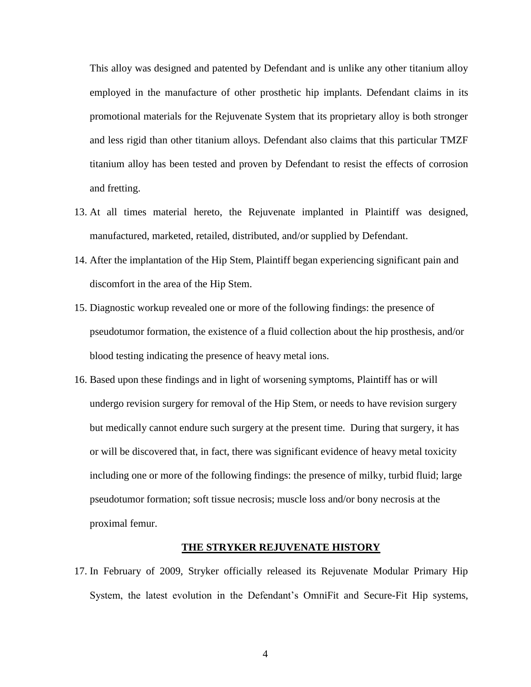This alloy was designed and patented by Defendant and is unlike any other titanium alloy employed in the manufacture of other prosthetic hip implants. Defendant claims in its promotional materials for the Rejuvenate System that its proprietary alloy is both stronger and less rigid than other titanium alloys. Defendant also claims that this particular TMZF titanium alloy has been tested and proven by Defendant to resist the effects of corrosion and fretting.

- 13. At all times material hereto, the Rejuvenate implanted in Plaintiff was designed, manufactured, marketed, retailed, distributed, and/or supplied by Defendant.
- 14. After the implantation of the Hip Stem, Plaintiff began experiencing significant pain and discomfort in the area of the Hip Stem.
- 15. Diagnostic workup revealed one or more of the following findings: the presence of pseudotumor formation, the existence of a fluid collection about the hip prosthesis, and/or blood testing indicating the presence of heavy metal ions.
- 16. Based upon these findings and in light of worsening symptoms, Plaintiff has or will undergo revision surgery for removal of the Hip Stem, or needs to have revision surgery but medically cannot endure such surgery at the present time. During that surgery, it has or will be discovered that, in fact, there was significant evidence of heavy metal toxicity including one or more of the following findings: the presence of milky, turbid fluid; large pseudotumor formation; soft tissue necrosis; muscle loss and/or bony necrosis at the proximal femur.

#### **THE STRYKER REJUVENATE HISTORY**

17. In February of 2009, Stryker officially released its Rejuvenate Modular Primary Hip System, the latest evolution in the Defendant's OmniFit and Secure-Fit Hip systems,

4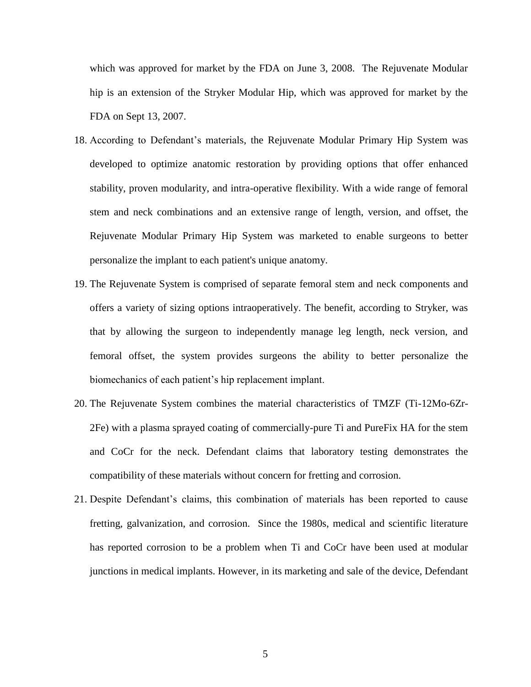which was approved for market by the FDA on June 3, 2008. The Rejuvenate Modular hip is an extension of the Stryker Modular Hip, which was approved for market by the FDA on Sept 13, 2007.

- 18. According to Defendant's materials, the Rejuvenate Modular Primary Hip System was developed to optimize anatomic restoration by providing options that offer enhanced stability, proven modularity, and intra-operative flexibility. With a wide range of femoral stem and neck combinations and an extensive range of length, version, and offset, the Rejuvenate Modular Primary Hip System was marketed to enable surgeons to better personalize the implant to each patient's unique anatomy.
- 19. The Rejuvenate System is comprised of separate femoral stem and neck components and offers a variety of sizing options intraoperatively. The benefit, according to Stryker, was that by allowing the surgeon to independently manage leg length, neck version, and femoral offset, the system provides surgeons the ability to better personalize the biomechanics of each patient's hip replacement implant.
- 20. The Rejuvenate System combines the material characteristics of TMZF (Ti-12Mo-6Zr-2Fe) with a plasma sprayed coating of commercially-pure Ti and PureFix HA for the stem and CoCr for the neck. Defendant claims that laboratory testing demonstrates the compatibility of these materials without concern for fretting and corrosion.
- 21. Despite Defendant's claims, this combination of materials has been reported to cause fretting, galvanization, and corrosion. Since the 1980s, medical and scientific literature has reported corrosion to be a problem when Ti and CoCr have been used at modular junctions in medical implants. However, in its marketing and sale of the device, Defendant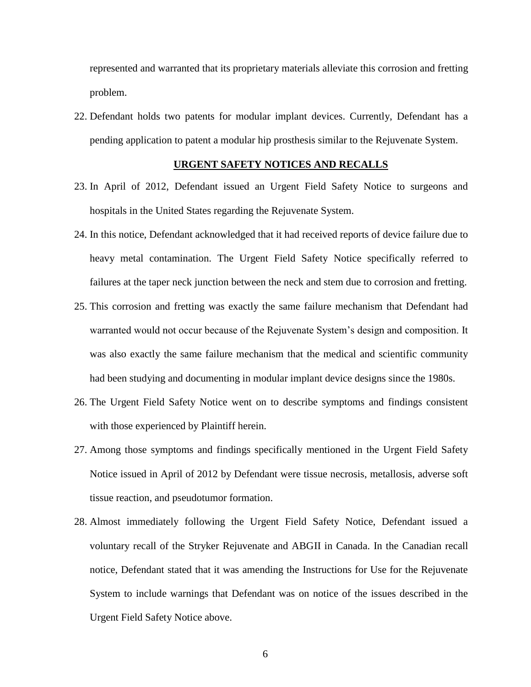represented and warranted that its proprietary materials alleviate this corrosion and fretting problem.

22. Defendant holds two patents for modular implant devices. Currently, Defendant has a pending application to patent a modular hip prosthesis similar to the Rejuvenate System.

### **URGENT SAFETY NOTICES AND RECALLS**

- 23. In April of 2012, Defendant issued an Urgent Field Safety Notice to surgeons and hospitals in the United States regarding the Rejuvenate System.
- 24. In this notice, Defendant acknowledged that it had received reports of device failure due to heavy metal contamination. The Urgent Field Safety Notice specifically referred to failures at the taper neck junction between the neck and stem due to corrosion and fretting.
- 25. This corrosion and fretting was exactly the same failure mechanism that Defendant had warranted would not occur because of the Rejuvenate System's design and composition. It was also exactly the same failure mechanism that the medical and scientific community had been studying and documenting in modular implant device designs since the 1980s.
- 26. The Urgent Field Safety Notice went on to describe symptoms and findings consistent with those experienced by Plaintiff herein.
- 27. Among those symptoms and findings specifically mentioned in the Urgent Field Safety Notice issued in April of 2012 by Defendant were tissue necrosis, metallosis, adverse soft tissue reaction, and pseudotumor formation.
- 28. Almost immediately following the Urgent Field Safety Notice, Defendant issued a voluntary recall of the Stryker Rejuvenate and ABGII in Canada. In the Canadian recall notice, Defendant stated that it was amending the Instructions for Use for the Rejuvenate System to include warnings that Defendant was on notice of the issues described in the Urgent Field Safety Notice above.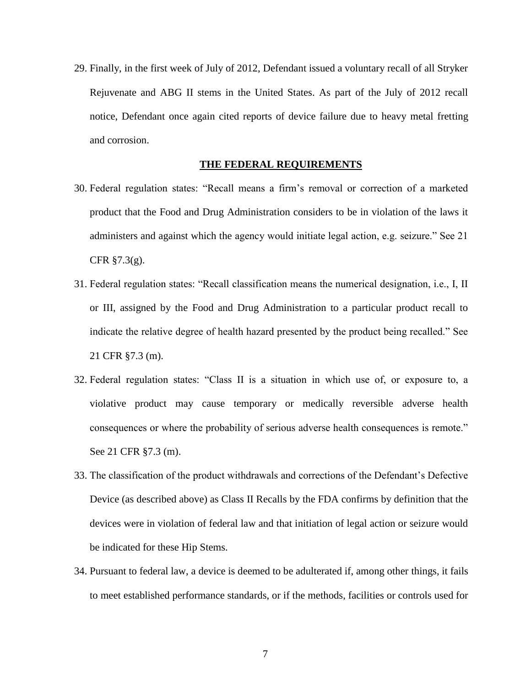29. Finally, in the first week of July of 2012, Defendant issued a voluntary recall of all Stryker Rejuvenate and ABG II stems in the United States. As part of the July of 2012 recall notice, Defendant once again cited reports of device failure due to heavy metal fretting and corrosion.

#### **THE FEDERAL REQUIREMENTS**

- 30. Federal regulation states: "Recall means a firm's removal or correction of a marketed product that the Food and Drug Administration considers to be in violation of the laws it administers and against which the agency would initiate legal action, e.g. seizure." See 21 CFR  $\S$ 7.3(g).
- 31. Federal regulation states: "Recall classification means the numerical designation, i.e., I, II or III, assigned by the Food and Drug Administration to a particular product recall to indicate the relative degree of health hazard presented by the product being recalled." See 21 CFR §7.3 (m).
- 32. Federal regulation states: "Class II is a situation in which use of, or exposure to, a violative product may cause temporary or medically reversible adverse health consequences or where the probability of serious adverse health consequences is remote." See 21 CFR §7.3 (m).
- 33. The classification of the product withdrawals and corrections of the Defendant's Defective Device (as described above) as Class II Recalls by the FDA confirms by definition that the devices were in violation of federal law and that initiation of legal action or seizure would be indicated for these Hip Stems.
- 34. Pursuant to federal law, a device is deemed to be adulterated if, among other things, it fails to meet established performance standards, or if the methods, facilities or controls used for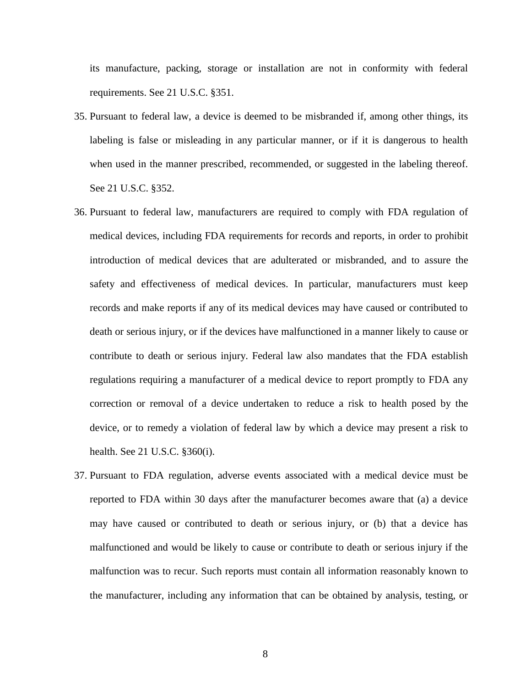its manufacture, packing, storage or installation are not in conformity with federal requirements. See 21 U.S.C. §351.

- 35. Pursuant to federal law, a device is deemed to be misbranded if, among other things, its labeling is false or misleading in any particular manner, or if it is dangerous to health when used in the manner prescribed, recommended, or suggested in the labeling thereof. See 21 U.S.C. §352.
- 36. Pursuant to federal law, manufacturers are required to comply with FDA regulation of medical devices, including FDA requirements for records and reports, in order to prohibit introduction of medical devices that are adulterated or misbranded, and to assure the safety and effectiveness of medical devices. In particular, manufacturers must keep records and make reports if any of its medical devices may have caused or contributed to death or serious injury, or if the devices have malfunctioned in a manner likely to cause or contribute to death or serious injury. Federal law also mandates that the FDA establish regulations requiring a manufacturer of a medical device to report promptly to FDA any correction or removal of a device undertaken to reduce a risk to health posed by the device, or to remedy a violation of federal law by which a device may present a risk to health. See 21 U.S.C. §360(i).
- 37. Pursuant to FDA regulation, adverse events associated with a medical device must be reported to FDA within 30 days after the manufacturer becomes aware that (a) a device may have caused or contributed to death or serious injury, or (b) that a device has malfunctioned and would be likely to cause or contribute to death or serious injury if the malfunction was to recur. Such reports must contain all information reasonably known to the manufacturer, including any information that can be obtained by analysis, testing, or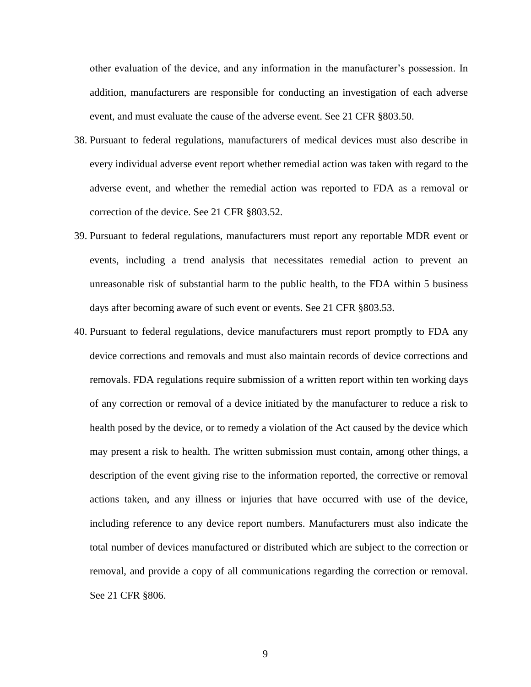other evaluation of the device, and any information in the manufacturer's possession. In addition, manufacturers are responsible for conducting an investigation of each adverse event, and must evaluate the cause of the adverse event. See 21 CFR §803.50.

- 38. Pursuant to federal regulations, manufacturers of medical devices must also describe in every individual adverse event report whether remedial action was taken with regard to the adverse event, and whether the remedial action was reported to FDA as a removal or correction of the device. See 21 CFR §803.52.
- 39. Pursuant to federal regulations, manufacturers must report any reportable MDR event or events, including a trend analysis that necessitates remedial action to prevent an unreasonable risk of substantial harm to the public health, to the FDA within 5 business days after becoming aware of such event or events. See 21 CFR §803.53.
- 40. Pursuant to federal regulations, device manufacturers must report promptly to FDA any device corrections and removals and must also maintain records of device corrections and removals. FDA regulations require submission of a written report within ten working days of any correction or removal of a device initiated by the manufacturer to reduce a risk to health posed by the device, or to remedy a violation of the Act caused by the device which may present a risk to health. The written submission must contain, among other things, a description of the event giving rise to the information reported, the corrective or removal actions taken, and any illness or injuries that have occurred with use of the device, including reference to any device report numbers. Manufacturers must also indicate the total number of devices manufactured or distributed which are subject to the correction or removal, and provide a copy of all communications regarding the correction or removal. See 21 CFR §806.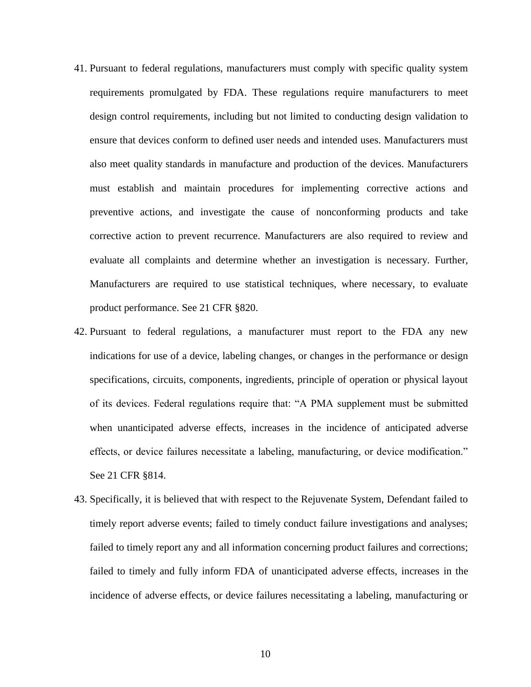- 41. Pursuant to federal regulations, manufacturers must comply with specific quality system requirements promulgated by FDA. These regulations require manufacturers to meet design control requirements, including but not limited to conducting design validation to ensure that devices conform to defined user needs and intended uses. Manufacturers must also meet quality standards in manufacture and production of the devices. Manufacturers must establish and maintain procedures for implementing corrective actions and preventive actions, and investigate the cause of nonconforming products and take corrective action to prevent recurrence. Manufacturers are also required to review and evaluate all complaints and determine whether an investigation is necessary. Further, Manufacturers are required to use statistical techniques, where necessary, to evaluate product performance. See 21 CFR §820.
- 42. Pursuant to federal regulations, a manufacturer must report to the FDA any new indications for use of a device, labeling changes, or changes in the performance or design specifications, circuits, components, ingredients, principle of operation or physical layout of its devices. Federal regulations require that: "A PMA supplement must be submitted when unanticipated adverse effects, increases in the incidence of anticipated adverse effects, or device failures necessitate a labeling, manufacturing, or device modification." See 21 CFR §814.
- 43. Specifically, it is believed that with respect to the Rejuvenate System, Defendant failed to timely report adverse events; failed to timely conduct failure investigations and analyses; failed to timely report any and all information concerning product failures and corrections; failed to timely and fully inform FDA of unanticipated adverse effects, increases in the incidence of adverse effects, or device failures necessitating a labeling, manufacturing or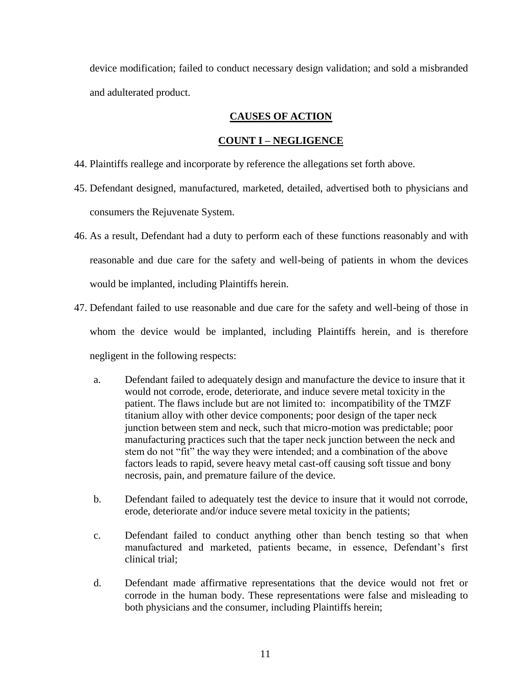device modification; failed to conduct necessary design validation; and sold a misbranded and adulterated product.

# **CAUSES OF ACTION**

# **COUNT I – NEGLIGENCE**

- 44. Plaintiffs reallege and incorporate by reference the allegations set forth above.
- 45. Defendant designed, manufactured, marketed, detailed, advertised both to physicians and consumers the Rejuvenate System.
- 46. As a result, Defendant had a duty to perform each of these functions reasonably and with reasonable and due care for the safety and well-being of patients in whom the devices would be implanted, including Plaintiffs herein.
- 47. Defendant failed to use reasonable and due care for the safety and well-being of those in whom the device would be implanted, including Plaintiffs herein, and is therefore negligent in the following respects:
	- a. Defendant failed to adequately design and manufacture the device to insure that it would not corrode, erode, deteriorate, and induce severe metal toxicity in the patient. The flaws include but are not limited to: incompatibility of the TMZF titanium alloy with other device components; poor design of the taper neck junction between stem and neck, such that micro-motion was predictable; poor manufacturing practices such that the taper neck junction between the neck and stem do not "fit" the way they were intended; and a combination of the above factors leads to rapid, severe heavy metal cast-off causing soft tissue and bony necrosis, pain, and premature failure of the device.
	- b. Defendant failed to adequately test the device to insure that it would not corrode, erode, deteriorate and/or induce severe metal toxicity in the patients;
	- c. Defendant failed to conduct anything other than bench testing so that when manufactured and marketed, patients became, in essence, Defendant's first clinical trial;
	- d. Defendant made affirmative representations that the device would not fret or corrode in the human body. These representations were false and misleading to both physicians and the consumer, including Plaintiffs herein;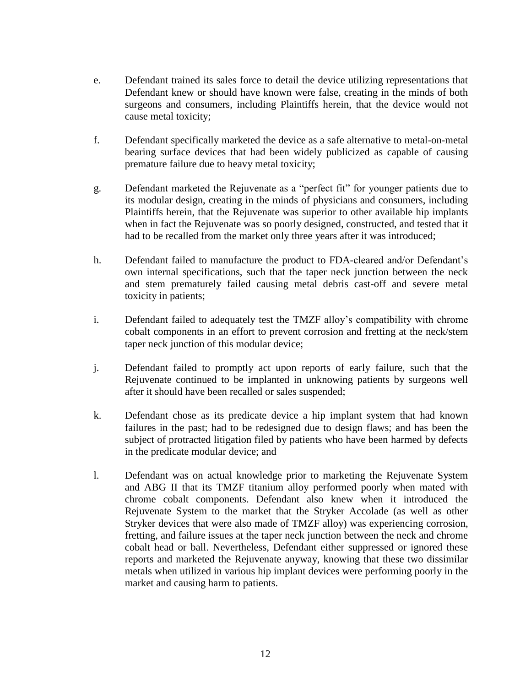- e. Defendant trained its sales force to detail the device utilizing representations that Defendant knew or should have known were false, creating in the minds of both surgeons and consumers, including Plaintiffs herein, that the device would not cause metal toxicity;
- f. Defendant specifically marketed the device as a safe alternative to metal-on-metal bearing surface devices that had been widely publicized as capable of causing premature failure due to heavy metal toxicity;
- g. Defendant marketed the Rejuvenate as a "perfect fit" for younger patients due to its modular design, creating in the minds of physicians and consumers, including Plaintiffs herein, that the Rejuvenate was superior to other available hip implants when in fact the Rejuvenate was so poorly designed, constructed, and tested that it had to be recalled from the market only three years after it was introduced;
- h. Defendant failed to manufacture the product to FDA-cleared and/or Defendant's own internal specifications, such that the taper neck junction between the neck and stem prematurely failed causing metal debris cast-off and severe metal toxicity in patients;
- i. Defendant failed to adequately test the TMZF alloy's compatibility with chrome cobalt components in an effort to prevent corrosion and fretting at the neck/stem taper neck junction of this modular device;
- j. Defendant failed to promptly act upon reports of early failure, such that the Rejuvenate continued to be implanted in unknowing patients by surgeons well after it should have been recalled or sales suspended;
- k. Defendant chose as its predicate device a hip implant system that had known failures in the past; had to be redesigned due to design flaws; and has been the subject of protracted litigation filed by patients who have been harmed by defects in the predicate modular device; and
- l. Defendant was on actual knowledge prior to marketing the Rejuvenate System and ABG II that its TMZF titanium alloy performed poorly when mated with chrome cobalt components. Defendant also knew when it introduced the Rejuvenate System to the market that the Stryker Accolade (as well as other Stryker devices that were also made of TMZF alloy) was experiencing corrosion, fretting, and failure issues at the taper neck junction between the neck and chrome cobalt head or ball. Nevertheless, Defendant either suppressed or ignored these reports and marketed the Rejuvenate anyway, knowing that these two dissimilar metals when utilized in various hip implant devices were performing poorly in the market and causing harm to patients.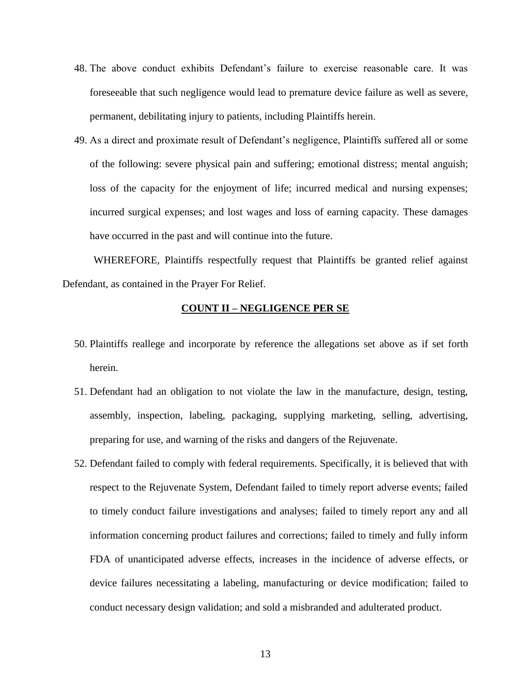- 48. The above conduct exhibits Defendant's failure to exercise reasonable care. It was foreseeable that such negligence would lead to premature device failure as well as severe, permanent, debilitating injury to patients, including Plaintiffs herein.
- 49. As a direct and proximate result of Defendant's negligence, Plaintiffs suffered all or some of the following: severe physical pain and suffering; emotional distress; mental anguish; loss of the capacity for the enjoyment of life; incurred medical and nursing expenses; incurred surgical expenses; and lost wages and loss of earning capacity. These damages have occurred in the past and will continue into the future.

WHEREFORE, Plaintiffs respectfully request that Plaintiffs be granted relief against Defendant, as contained in the Prayer For Relief.

### **COUNT II – NEGLIGENCE PER SE**

- 50. Plaintiffs reallege and incorporate by reference the allegations set above as if set forth herein.
- 51. Defendant had an obligation to not violate the law in the manufacture, design, testing, assembly, inspection, labeling, packaging, supplying marketing, selling, advertising, preparing for use, and warning of the risks and dangers of the Rejuvenate.
- 52. Defendant failed to comply with federal requirements. Specifically, it is believed that with respect to the Rejuvenate System, Defendant failed to timely report adverse events; failed to timely conduct failure investigations and analyses; failed to timely report any and all information concerning product failures and corrections; failed to timely and fully inform FDA of unanticipated adverse effects, increases in the incidence of adverse effects, or device failures necessitating a labeling, manufacturing or device modification; failed to conduct necessary design validation; and sold a misbranded and adulterated product.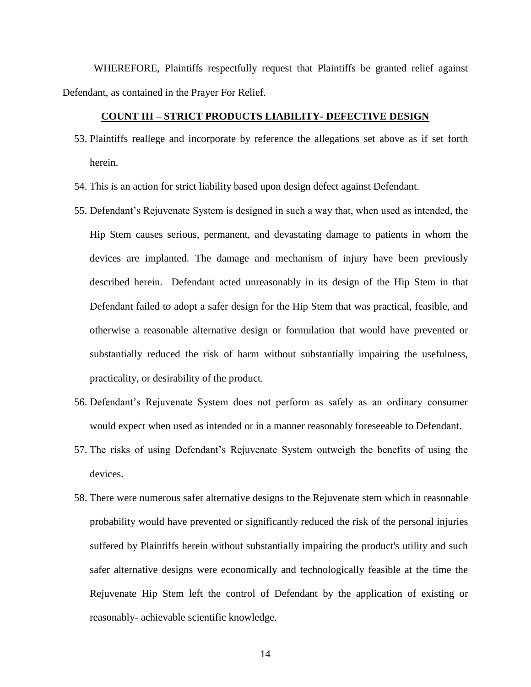WHEREFORE, Plaintiffs respectfully request that Plaintiffs be granted relief against Defendant, as contained in the Prayer For Relief.

### **COUNT III – STRICT PRODUCTS LIABILITY- DEFECTIVE DESIGN**

- 53. Plaintiffs reallege and incorporate by reference the allegations set above as if set forth herein.
- 54. This is an action for strict liability based upon design defect against Defendant.
- 55. Defendant's Rejuvenate System is designed in such a way that, when used as intended, the Hip Stem causes serious, permanent, and devastating damage to patients in whom the devices are implanted. The damage and mechanism of injury have been previously described herein. Defendant acted unreasonably in its design of the Hip Stem in that Defendant failed to adopt a safer design for the Hip Stem that was practical, feasible, and otherwise a reasonable alternative design or formulation that would have prevented or substantially reduced the risk of harm without substantially impairing the usefulness, practicality, or desirability of the product.
- 56. Defendant's Rejuvenate System does not perform as safely as an ordinary consumer would expect when used as intended or in a manner reasonably foreseeable to Defendant.
- 57. The risks of using Defendant's Rejuvenate System outweigh the benefits of using the devices.
- 58. There were numerous safer alternative designs to the Rejuvenate stem which in reasonable probability would have prevented or significantly reduced the risk of the personal injuries suffered by Plaintiffs herein without substantially impairing the product's utility and such safer alternative designs were economically and technologically feasible at the time the Rejuvenate Hip Stem left the control of Defendant by the application of existing or reasonably- achievable scientific knowledge.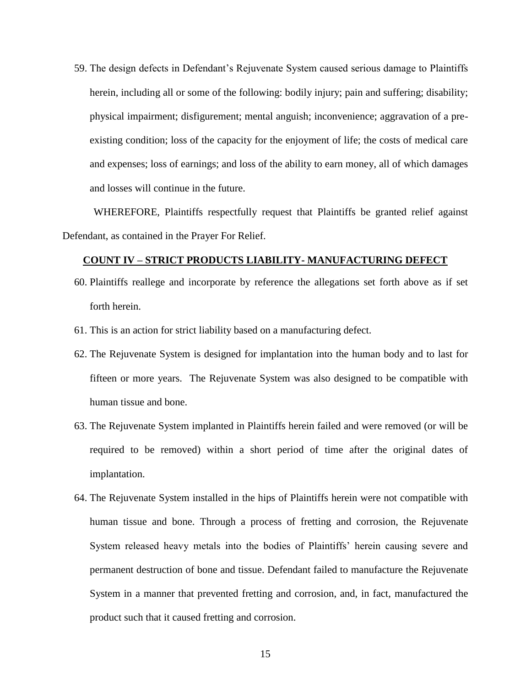59. The design defects in Defendant's Rejuvenate System caused serious damage to Plaintiffs herein, including all or some of the following: bodily injury; pain and suffering; disability; physical impairment; disfigurement; mental anguish; inconvenience; aggravation of a preexisting condition; loss of the capacity for the enjoyment of life; the costs of medical care and expenses; loss of earnings; and loss of the ability to earn money, all of which damages and losses will continue in the future.

WHEREFORE, Plaintiffs respectfully request that Plaintiffs be granted relief against Defendant, as contained in the Prayer For Relief.

### **COUNT IV – STRICT PRODUCTS LIABILITY- MANUFACTURING DEFECT**

- 60. Plaintiffs reallege and incorporate by reference the allegations set forth above as if set forth herein.
- 61. This is an action for strict liability based on a manufacturing defect.
- 62. The Rejuvenate System is designed for implantation into the human body and to last for fifteen or more years. The Rejuvenate System was also designed to be compatible with human tissue and bone.
- 63. The Rejuvenate System implanted in Plaintiffs herein failed and were removed (or will be required to be removed) within a short period of time after the original dates of implantation.
- 64. The Rejuvenate System installed in the hips of Plaintiffs herein were not compatible with human tissue and bone. Through a process of fretting and corrosion, the Rejuvenate System released heavy metals into the bodies of Plaintiffs' herein causing severe and permanent destruction of bone and tissue. Defendant failed to manufacture the Rejuvenate System in a manner that prevented fretting and corrosion, and, in fact, manufactured the product such that it caused fretting and corrosion.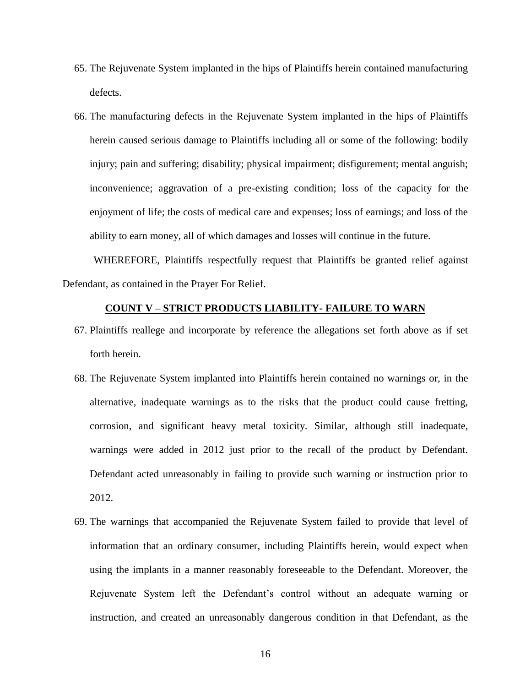- 65. The Rejuvenate System implanted in the hips of Plaintiffs herein contained manufacturing defects.
- 66. The manufacturing defects in the Rejuvenate System implanted in the hips of Plaintiffs herein caused serious damage to Plaintiffs including all or some of the following: bodily injury; pain and suffering; disability; physical impairment; disfigurement; mental anguish; inconvenience; aggravation of a pre-existing condition; loss of the capacity for the enjoyment of life; the costs of medical care and expenses; loss of earnings; and loss of the ability to earn money, all of which damages and losses will continue in the future.

WHEREFORE, Plaintiffs respectfully request that Plaintiffs be granted relief against Defendant, as contained in the Prayer For Relief.

### **COUNT V – STRICT PRODUCTS LIABILITY- FAILURE TO WARN**

- 67. Plaintiffs reallege and incorporate by reference the allegations set forth above as if set forth herein.
- 68. The Rejuvenate System implanted into Plaintiffs herein contained no warnings or, in the alternative, inadequate warnings as to the risks that the product could cause fretting, corrosion, and significant heavy metal toxicity. Similar, although still inadequate, warnings were added in 2012 just prior to the recall of the product by Defendant. Defendant acted unreasonably in failing to provide such warning or instruction prior to 2012.
- 69. The warnings that accompanied the Rejuvenate System failed to provide that level of information that an ordinary consumer, including Plaintiffs herein, would expect when using the implants in a manner reasonably foreseeable to the Defendant. Moreover, the Rejuvenate System left the Defendant's control without an adequate warning or instruction, and created an unreasonably dangerous condition in that Defendant, as the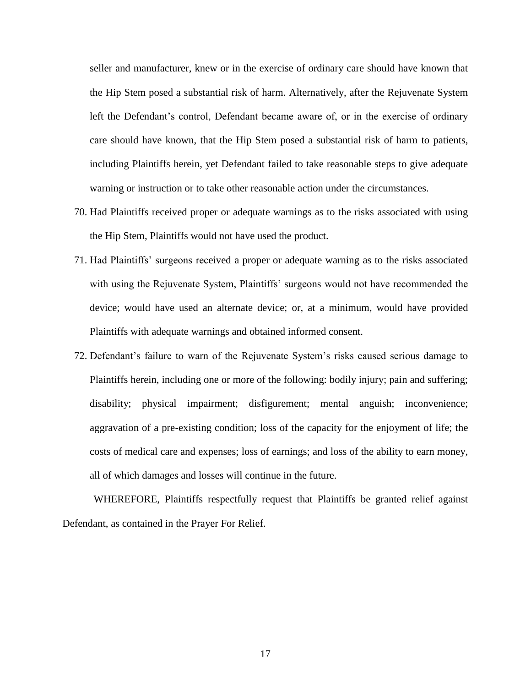seller and manufacturer, knew or in the exercise of ordinary care should have known that the Hip Stem posed a substantial risk of harm. Alternatively, after the Rejuvenate System left the Defendant's control, Defendant became aware of, or in the exercise of ordinary care should have known, that the Hip Stem posed a substantial risk of harm to patients, including Plaintiffs herein, yet Defendant failed to take reasonable steps to give adequate warning or instruction or to take other reasonable action under the circumstances.

- 70. Had Plaintiffs received proper or adequate warnings as to the risks associated with using the Hip Stem, Plaintiffs would not have used the product.
- 71. Had Plaintiffs' surgeons received a proper or adequate warning as to the risks associated with using the Rejuvenate System, Plaintiffs' surgeons would not have recommended the device; would have used an alternate device; or, at a minimum, would have provided Plaintiffs with adequate warnings and obtained informed consent.
- 72. Defendant's failure to warn of the Rejuvenate System's risks caused serious damage to Plaintiffs herein, including one or more of the following: bodily injury; pain and suffering; disability; physical impairment; disfigurement; mental anguish; inconvenience; aggravation of a pre-existing condition; loss of the capacity for the enjoyment of life; the costs of medical care and expenses; loss of earnings; and loss of the ability to earn money, all of which damages and losses will continue in the future.

WHEREFORE, Plaintiffs respectfully request that Plaintiffs be granted relief against Defendant, as contained in the Prayer For Relief.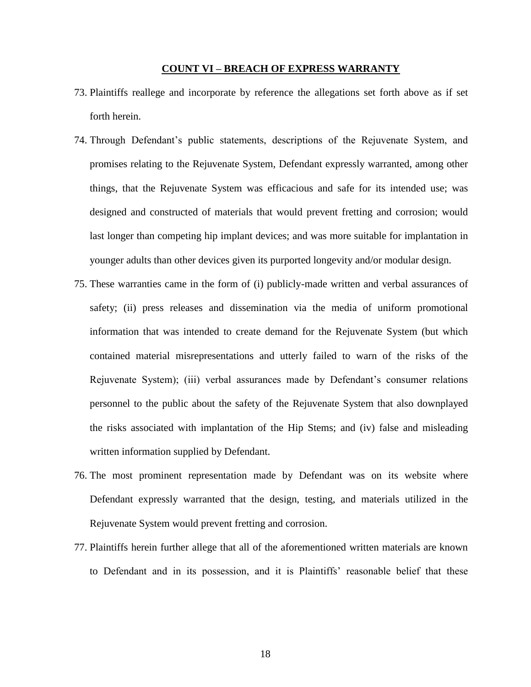#### **COUNT VI – BREACH OF EXPRESS WARRANTY**

- 73. Plaintiffs reallege and incorporate by reference the allegations set forth above as if set forth herein.
- 74. Through Defendant's public statements, descriptions of the Rejuvenate System, and promises relating to the Rejuvenate System, Defendant expressly warranted, among other things, that the Rejuvenate System was efficacious and safe for its intended use; was designed and constructed of materials that would prevent fretting and corrosion; would last longer than competing hip implant devices; and was more suitable for implantation in younger adults than other devices given its purported longevity and/or modular design.
- 75. These warranties came in the form of (i) publicly-made written and verbal assurances of safety; (ii) press releases and dissemination via the media of uniform promotional information that was intended to create demand for the Rejuvenate System (but which contained material misrepresentations and utterly failed to warn of the risks of the Rejuvenate System); (iii) verbal assurances made by Defendant's consumer relations personnel to the public about the safety of the Rejuvenate System that also downplayed the risks associated with implantation of the Hip Stems; and (iv) false and misleading written information supplied by Defendant.
- 76. The most prominent representation made by Defendant was on its website where Defendant expressly warranted that the design, testing, and materials utilized in the Rejuvenate System would prevent fretting and corrosion.
- 77. Plaintiffs herein further allege that all of the aforementioned written materials are known to Defendant and in its possession, and it is Plaintiffs' reasonable belief that these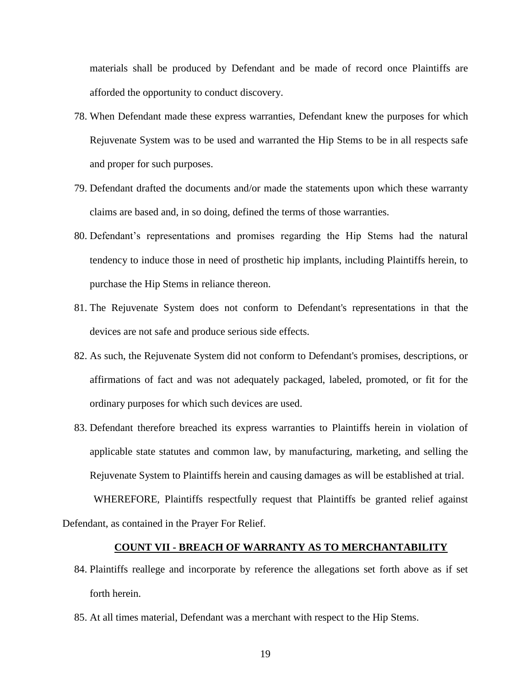materials shall be produced by Defendant and be made of record once Plaintiffs are afforded the opportunity to conduct discovery.

- 78. When Defendant made these express warranties, Defendant knew the purposes for which Rejuvenate System was to be used and warranted the Hip Stems to be in all respects safe and proper for such purposes.
- 79. Defendant drafted the documents and/or made the statements upon which these warranty claims are based and, in so doing, defined the terms of those warranties.
- 80. Defendant's representations and promises regarding the Hip Stems had the natural tendency to induce those in need of prosthetic hip implants, including Plaintiffs herein, to purchase the Hip Stems in reliance thereon.
- 81. The Rejuvenate System does not conform to Defendant's representations in that the devices are not safe and produce serious side effects.
- 82. As such, the Rejuvenate System did not conform to Defendant's promises, descriptions, or affirmations of fact and was not adequately packaged, labeled, promoted, or fit for the ordinary purposes for which such devices are used.
- 83. Defendant therefore breached its express warranties to Plaintiffs herein in violation of applicable state statutes and common law, by manufacturing, marketing, and selling the Rejuvenate System to Plaintiffs herein and causing damages as will be established at trial.

WHEREFORE, Plaintiffs respectfully request that Plaintiffs be granted relief against Defendant, as contained in the Prayer For Relief.

#### **COUNT VII - BREACH OF WARRANTY AS TO MERCHANTABILITY**

- 84. Plaintiffs reallege and incorporate by reference the allegations set forth above as if set forth herein.
- 85. At all times material, Defendant was a merchant with respect to the Hip Stems.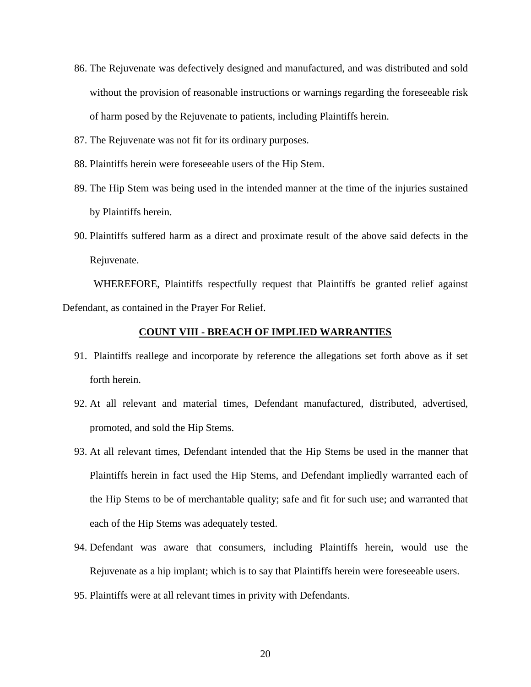- 86. The Rejuvenate was defectively designed and manufactured, and was distributed and sold without the provision of reasonable instructions or warnings regarding the foreseeable risk of harm posed by the Rejuvenate to patients, including Plaintiffs herein.
- 87. The Rejuvenate was not fit for its ordinary purposes.
- 88. Plaintiffs herein were foreseeable users of the Hip Stem.
- 89. The Hip Stem was being used in the intended manner at the time of the injuries sustained by Plaintiffs herein.
- 90. Plaintiffs suffered harm as a direct and proximate result of the above said defects in the Rejuvenate.

WHEREFORE, Plaintiffs respectfully request that Plaintiffs be granted relief against Defendant, as contained in the Prayer For Relief.

#### **COUNT VIII - BREACH OF IMPLIED WARRANTIES**

- 91. Plaintiffs reallege and incorporate by reference the allegations set forth above as if set forth herein.
- 92. At all relevant and material times, Defendant manufactured, distributed, advertised, promoted, and sold the Hip Stems.
- 93. At all relevant times, Defendant intended that the Hip Stems be used in the manner that Plaintiffs herein in fact used the Hip Stems, and Defendant impliedly warranted each of the Hip Stems to be of merchantable quality; safe and fit for such use; and warranted that each of the Hip Stems was adequately tested.
- 94. Defendant was aware that consumers, including Plaintiffs herein, would use the Rejuvenate as a hip implant; which is to say that Plaintiffs herein were foreseeable users.
- 95. Plaintiffs were at all relevant times in privity with Defendants.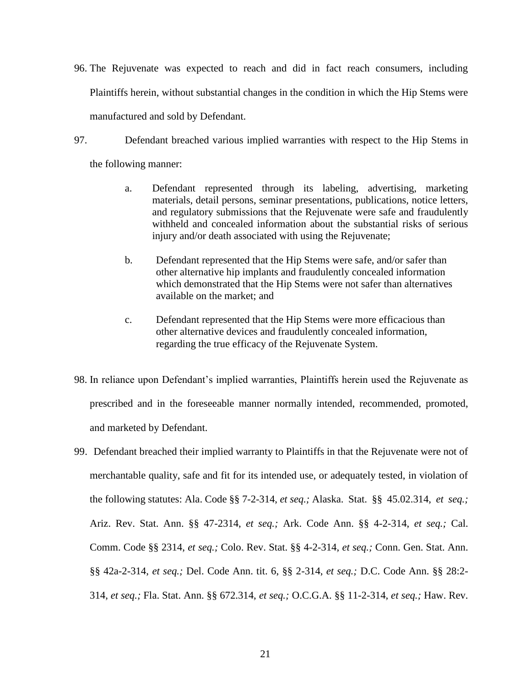- 96. The Rejuvenate was expected to reach and did in fact reach consumers, including Plaintiffs herein, without substantial changes in the condition in which the Hip Stems were manufactured and sold by Defendant.
- 97. Defendant breached various implied warranties with respect to the Hip Stems in the following manner:
	- a. Defendant represented through its labeling, advertising, marketing materials, detail persons, seminar presentations, publications, notice letters, and regulatory submissions that the Rejuvenate were safe and fraudulently withheld and concealed information about the substantial risks of serious injury and/or death associated with using the Rejuvenate;
	- b. Defendant represented that the Hip Stems were safe, and/or safer than other alternative hip implants and fraudulently concealed information which demonstrated that the Hip Stems were not safer than alternatives available on the market; and
	- c. Defendant represented that the Hip Stems were more efficacious than other alternative devices and fraudulently concealed information, regarding the true efficacy of the Rejuvenate System.
- 98. In reliance upon Defendant's implied warranties, Plaintiffs herein used the Rejuvenate as prescribed and in the foreseeable manner normally intended, recommended, promoted, and marketed by Defendant.
- 99. Defendant breached their implied warranty to Plaintiffs in that the Rejuvenate were not of merchantable quality, safe and fit for its intended use, or adequately tested, in violation of the following statutes: Ala. Code §§ 7-2-314, *et seq.;* Alaska. Stat. §§ 45.02.314, *et seq.;*  Ariz. Rev. Stat. Ann. §§ 47-2314, *et seq.;* Ark. Code Ann. §§ 4-2-314, *et seq.;* Cal. Comm. Code §§ 2314, *et seq.;* Colo. Rev. Stat. §§ 4-2-314, *et seq.;* Conn. Gen. Stat. Ann. §§ 42a-2-314, *et seq.;* Del. Code Ann. tit. 6, §§ 2-314, *et seq.;* D.C. Code Ann. §§ 28:2- 314, *et seq.;* Fla. Stat. Ann. §§ 672.314, *et seq.;* O.C.G.A. §§ 11-2-314, *et seq.;* Haw. Rev.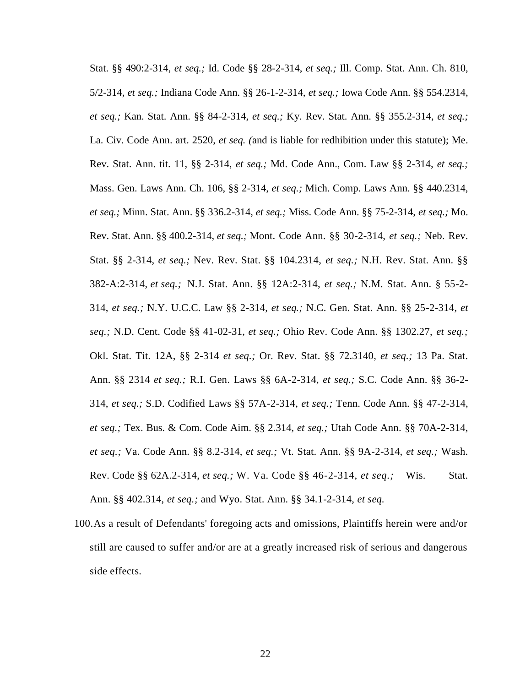Stat. §§ 490:2-314, *et seq.;* Id. Code §§ 28-2-314, *et seq.;* Ill. Comp. Stat. Ann. Ch. 810, 5/2-314, *et seq.;* Indiana Code Ann. §§ 26-1-2-314, *et seq.;* Iowa Code Ann. §§ 554.2314, *et seq.;* Kan. Stat. Ann. §§ 84-2-314, *et seq.;* Ky. Rev. Stat. Ann. §§ 355.2-314, *et seq.;*  La. Civ. Code Ann. art. 2520, *et seq. (*and is liable for redhibition under this statute); Me. Rev. Stat. Ann. tit. 11, §§ 2-314, *et seq.;* Md. Code Ann., Com. Law §§ 2-314, *et seq.;*  Mass. Gen. Laws Ann. Ch. 106, §§ 2-314, *et seq.;* Mich. Comp. Laws Ann. §§ 440.2314, *et seq.;* Minn. Stat. Ann. §§ 336.2-314, *et seq.;* Miss. Code Ann. §§ 75-2-314, *et seq.;* Mo. Rev. Stat. Ann. §§ 400.2-314, *et seq.;* Mont. Code Ann. §§ 30-2-314, *et seq.;* Neb. Rev. Stat. §§ 2-314, *et seq.;* Nev. Rev. Stat. §§ 104.2314, *et seq.;* N.H. Rev. Stat. Ann. §§ 382-A:2-314, *et seq.;* N.J. Stat. Ann. §§ 12A:2-314, *et seq.;* N.M. Stat. Ann. § 55-2- 314, *et seq.;* N.Y. U.C.C. Law §§ 2-314, *et seq.;* N.C. Gen. Stat. Ann. §§ 25-2-314, *et seq.;* N.D. Cent. Code §§ 41-02-31, *et seq.;* Ohio Rev. Code Ann. §§ 1302.27, *et seq.;*  Okl. Stat. Tit. 12A, §§ 2-314 *et seq.;* Or. Rev. Stat. §§ 72.3140, *et seq.;* 13 Pa. Stat. Ann. §§ 2314 *et seq.;* R.I. Gen. Laws §§ 6A-2-314, *et seq.;* S.C. Code Ann. §§ 36-2- 314, *et seq.;* S.D. Codified Laws §§ 57A-2-314, *et seq.;* Tenn. Code Ann. §§ 47-2-314, *et seq.;* Tex. Bus. & Com. Code Aim. §§ 2.314, *et seq.;* Utah Code Ann. §§ 70A-2-314, *et seq.;* Va. Code Ann. §§ 8.2-314, *et seq.;* Vt. Stat. Ann. §§ 9A-2-314, *et seq.;* Wash. Rev. Code §§ 62A.2-314, *et seq.;* W. Va. Code §§ 46-2-314, *et seq.;* Wis. Stat. Ann. §§ 402.314, *et seq.;* and Wyo. Stat. Ann. §§ 34.1-2-314, *et seq.*

100.As a result of Defendants' foregoing acts and omissions, Plaintiffs herein were and/or still are caused to suffer and/or are at a greatly increased risk of serious and dangerous side effects.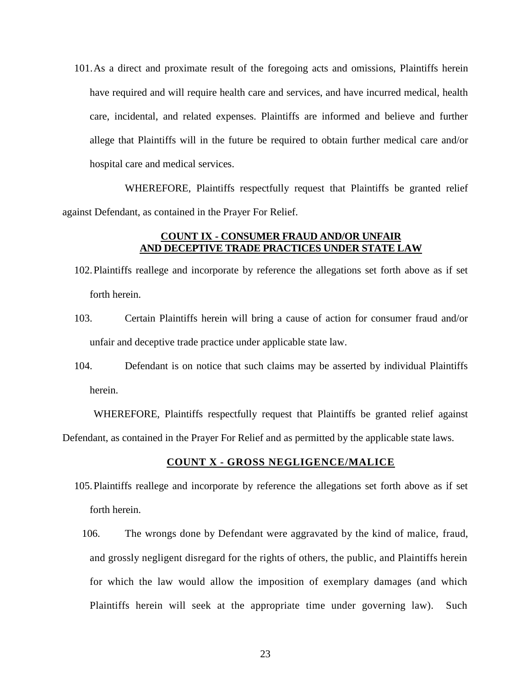101.As a direct and proximate result of the foregoing acts and omissions, Plaintiffs herein have required and will require health care and services, and have incurred medical, health care, incidental, and related expenses. Plaintiffs are informed and believe and further allege that Plaintiffs will in the future be required to obtain further medical care and/or hospital care and medical services.

WHEREFORE, Plaintiffs respectfully request that Plaintiffs be granted relief against Defendant, as contained in the Prayer For Relief.

### **COUNT IX - CONSUMER FRAUD AND/OR UNFAIR AND DECEPTIVE TRADE PRACTICES UNDER STATE LAW**

- 102.Plaintiffs reallege and incorporate by reference the allegations set forth above as if set forth herein.
- 103. Certain Plaintiffs herein will bring a cause of action for consumer fraud and/or unfair and deceptive trade practice under applicable state law.
- 104. Defendant is on notice that such claims may be asserted by individual Plaintiffs herein.

WHEREFORE, Plaintiffs respectfully request that Plaintiffs be granted relief against Defendant, as contained in the Prayer For Relief and as permitted by the applicable state laws.

### **COUNT X - GROSS NEGLIGENCE/MALICE**

- 105.Plaintiffs reallege and incorporate by reference the allegations set forth above as if set forth herein.
	- 106. The wrongs done by Defendant were aggravated by the kind of malice, fraud, and grossly negligent disregard for the rights of others, the public, and Plaintiffs herein for which the law would allow the imposition of exemplary damages (and which Plaintiffs herein will seek at the appropriate time under governing law). Such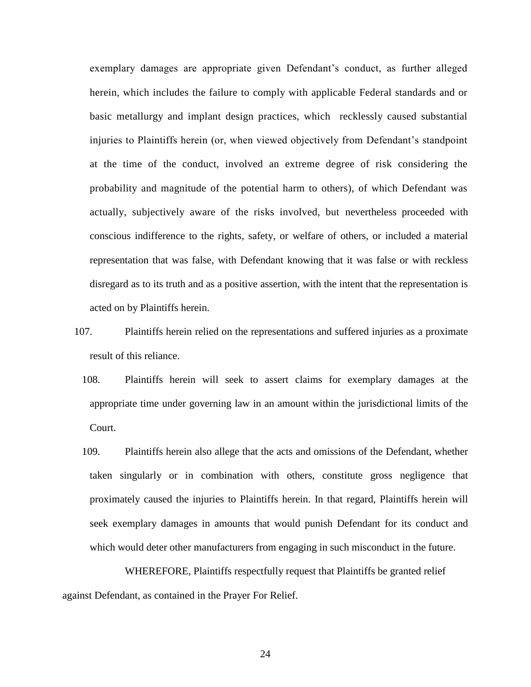exemplary damages are appropriate given Defendant's conduct, as further alleged herein, which includes the failure to comply with applicable Federal standards and or basic metallurgy and implant design practices, which recklessly caused substantial injuries to Plaintiffs herein (or, when viewed objectively from Defendant's standpoint at the time of the conduct, involved an extreme degree of risk considering the probability and magnitude of the potential harm to others), of which Defendant was actually, subjectively aware of the risks involved, but nevertheless proceeded with conscious indifference to the rights, safety, or welfare of others, or included a material representation that was false, with Defendant knowing that it was false or with reckless disregard as to its truth and as a positive assertion, with the intent that the representation is acted on by Plaintiffs herein.

- 107. Plaintiffs herein relied on the representations and suffered injuries as a proximate result of this reliance.
	- 108. Plaintiffs herein will seek to assert claims for exemplary damages at the appropriate time under governing law in an amount within the jurisdictional limits of the Court.
	- 109. Plaintiffs herein also allege that the acts and omissions of the Defendant, whether taken singularly or in combination with others, constitute gross negligence that proximately caused the injuries to Plaintiffs herein. In that regard, Plaintiffs herein will seek exemplary damages in amounts that would punish Defendant for its conduct and which would deter other manufacturers from engaging in such misconduct in the future.

WHEREFORE, Plaintiffs respectfully request that Plaintiffs be granted relief against Defendant, as contained in the Prayer For Relief.

24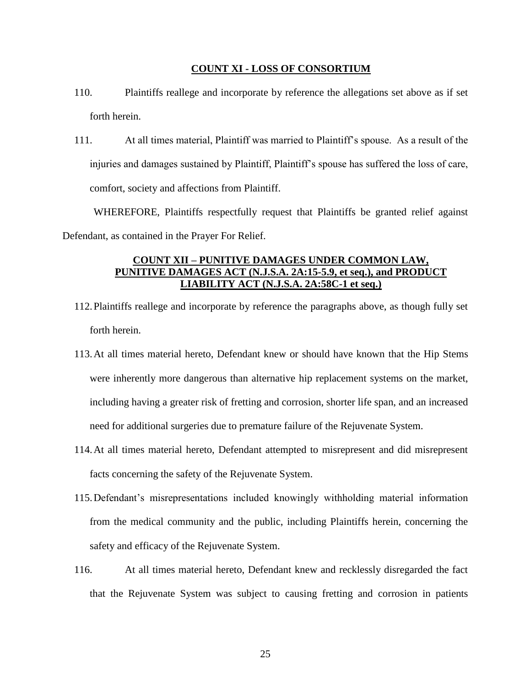#### **COUNT XI - LOSS OF CONSORTIUM**

- 110. Plaintiffs reallege and incorporate by reference the allegations set above as if set forth herein.
- 111. At all times material, Plaintiff was married to Plaintiff's spouse. As a result of the injuries and damages sustained by Plaintiff, Plaintiff's spouse has suffered the loss of care, comfort, society and affections from Plaintiff.

WHEREFORE, Plaintiffs respectfully request that Plaintiffs be granted relief against Defendant, as contained in the Prayer For Relief.

# **COUNT XII – PUNITIVE DAMAGES UNDER COMMON LAW, PUNITIVE DAMAGES ACT (N.J.S.A. 2A:15-5.9, et seq.), and PRODUCT LIABILITY ACT (N.J.S.A. 2A:58C-1 et seq.)**

- 112.Plaintiffs reallege and incorporate by reference the paragraphs above, as though fully set forth herein.
- 113.At all times material hereto, Defendant knew or should have known that the Hip Stems were inherently more dangerous than alternative hip replacement systems on the market, including having a greater risk of fretting and corrosion, shorter life span, and an increased need for additional surgeries due to premature failure of the Rejuvenate System.
- 114.At all times material hereto, Defendant attempted to misrepresent and did misrepresent facts concerning the safety of the Rejuvenate System.
- 115.Defendant's misrepresentations included knowingly withholding material information from the medical community and the public, including Plaintiffs herein, concerning the safety and efficacy of the Rejuvenate System.
- 116. At all times material hereto, Defendant knew and recklessly disregarded the fact that the Rejuvenate System was subject to causing fretting and corrosion in patients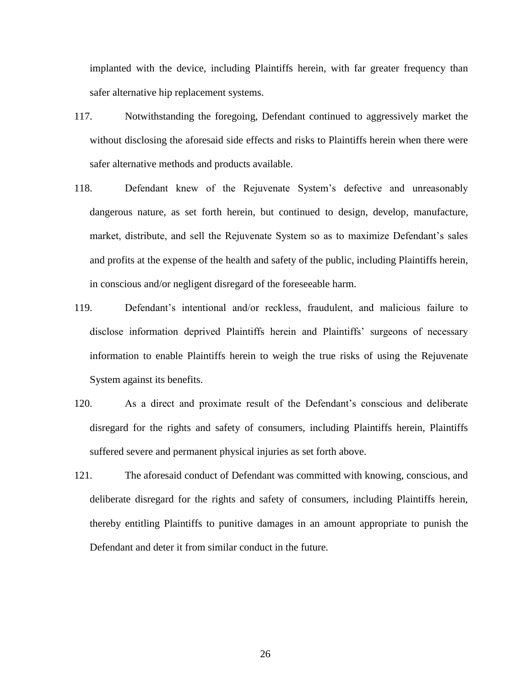implanted with the device, including Plaintiffs herein, with far greater frequency than safer alternative hip replacement systems.

- 117. Notwithstanding the foregoing, Defendant continued to aggressively market the without disclosing the aforesaid side effects and risks to Plaintiffs herein when there were safer alternative methods and products available.
- 118. Defendant knew of the Rejuvenate System's defective and unreasonably dangerous nature, as set forth herein, but continued to design, develop, manufacture, market, distribute, and sell the Rejuvenate System so as to maximize Defendant's sales and profits at the expense of the health and safety of the public, including Plaintiffs herein, in conscious and/or negligent disregard of the foreseeable harm.
- 119. Defendant's intentional and/or reckless, fraudulent, and malicious failure to disclose information deprived Plaintiffs herein and Plaintiffs' surgeons of necessary information to enable Plaintiffs herein to weigh the true risks of using the Rejuvenate System against its benefits.
- 120. As a direct and proximate result of the Defendant's conscious and deliberate disregard for the rights and safety of consumers, including Plaintiffs herein, Plaintiffs suffered severe and permanent physical injuries as set forth above.
- 121. The aforesaid conduct of Defendant was committed with knowing, conscious, and deliberate disregard for the rights and safety of consumers, including Plaintiffs herein, thereby entitling Plaintiffs to punitive damages in an amount appropriate to punish the Defendant and deter it from similar conduct in the future.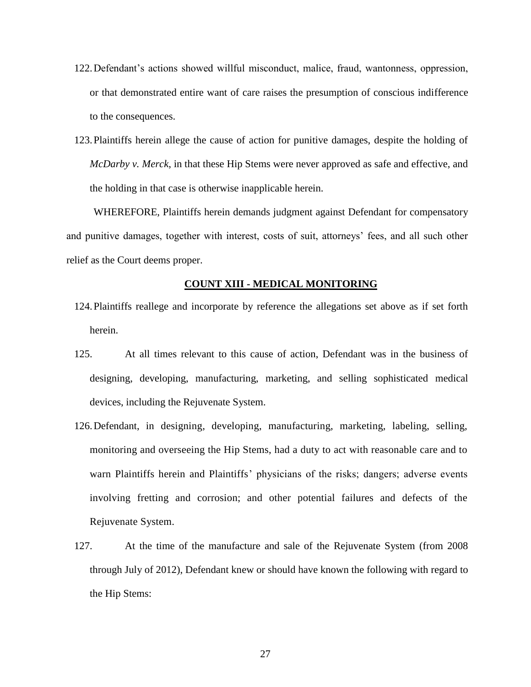- 122.Defendant's actions showed willful misconduct, malice, fraud, wantonness, oppression, or that demonstrated entire want of care raises the presumption of conscious indifference to the consequences.
- 123.Plaintiffs herein allege the cause of action for punitive damages, despite the holding of *McDarby v. Merck*, in that these Hip Stems were never approved as safe and effective, and the holding in that case is otherwise inapplicable herein.

WHEREFORE, Plaintiffs herein demands judgment against Defendant for compensatory and punitive damages, together with interest, costs of suit, attorneys' fees, and all such other relief as the Court deems proper.

### **COUNT XIII - MEDICAL MONITORING**

- 124.Plaintiffs reallege and incorporate by reference the allegations set above as if set forth herein.
- 125. At all times relevant to this cause of action, Defendant was in the business of designing, developing, manufacturing, marketing, and selling sophisticated medical devices, including the Rejuvenate System.
- 126.Defendant, in designing, developing, manufacturing, marketing, labeling, selling, monitoring and overseeing the Hip Stems, had a duty to act with reasonable care and to warn Plaintiffs herein and Plaintiffs' physicians of the risks; dangers; adverse events involving fretting and corrosion; and other potential failures and defects of the Rejuvenate System.
- 127. At the time of the manufacture and sale of the Rejuvenate System (from 2008 through July of 2012), Defendant knew or should have known the following with regard to the Hip Stems: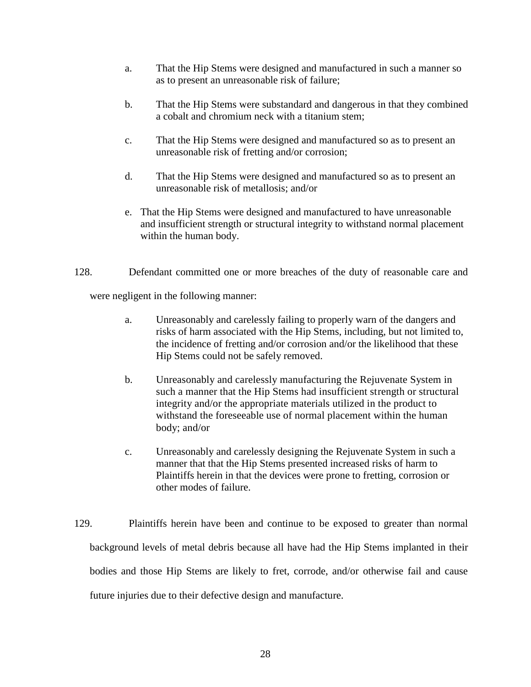- a. That the Hip Stems were designed and manufactured in such a manner so as to present an unreasonable risk of failure;
- b. That the Hip Stems were substandard and dangerous in that they combined a cobalt and chromium neck with a titanium stem;
- c. That the Hip Stems were designed and manufactured so as to present an unreasonable risk of fretting and/or corrosion;
- d. That the Hip Stems were designed and manufactured so as to present an unreasonable risk of metallosis; and/or
- e. That the Hip Stems were designed and manufactured to have unreasonable and insufficient strength or structural integrity to withstand normal placement within the human body.
- 128. Defendant committed one or more breaches of the duty of reasonable care and

were negligent in the following manner:

- a. Unreasonably and carelessly failing to properly warn of the dangers and risks of harm associated with the Hip Stems, including, but not limited to, the incidence of fretting and/or corrosion and/or the likelihood that these Hip Stems could not be safely removed.
- b. Unreasonably and carelessly manufacturing the Rejuvenate System in such a manner that the Hip Stems had insufficient strength or structural integrity and/or the appropriate materials utilized in the product to withstand the foreseeable use of normal placement within the human body; and/or
- c. Unreasonably and carelessly designing the Rejuvenate System in such a manner that that the Hip Stems presented increased risks of harm to Plaintiffs herein in that the devices were prone to fretting, corrosion or other modes of failure.
- 129. Plaintiffs herein have been and continue to be exposed to greater than normal background levels of metal debris because all have had the Hip Stems implanted in their bodies and those Hip Stems are likely to fret, corrode, and/or otherwise fail and cause future injuries due to their defective design and manufacture.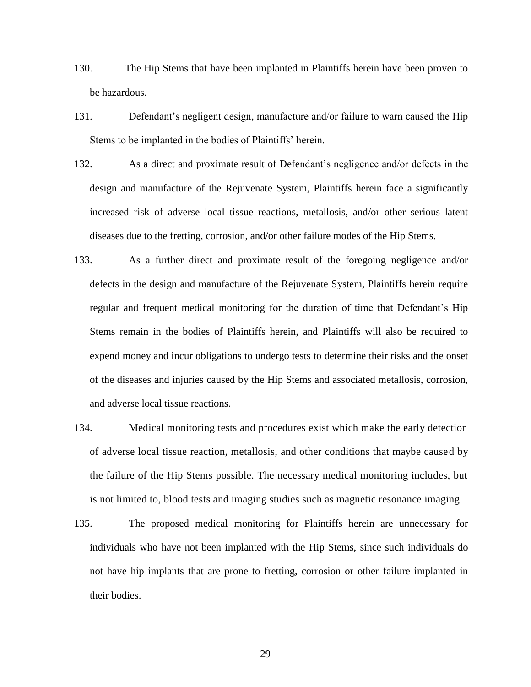- 130. The Hip Stems that have been implanted in Plaintiffs herein have been proven to be hazardous.
- 131. Defendant's negligent design, manufacture and/or failure to warn caused the Hip Stems to be implanted in the bodies of Plaintiffs' herein.
- 132. As a direct and proximate result of Defendant's negligence and/or defects in the design and manufacture of the Rejuvenate System, Plaintiffs herein face a significantly increased risk of adverse local tissue reactions, metallosis, and/or other serious latent diseases due to the fretting, corrosion, and/or other failure modes of the Hip Stems.
- 133. As a further direct and proximate result of the foregoing negligence and/or defects in the design and manufacture of the Rejuvenate System, Plaintiffs herein require regular and frequent medical monitoring for the duration of time that Defendant's Hip Stems remain in the bodies of Plaintiffs herein, and Plaintiffs will also be required to expend money and incur obligations to undergo tests to determine their risks and the onset of the diseases and injuries caused by the Hip Stems and associated metallosis, corrosion, and adverse local tissue reactions.
- 134. Medical monitoring tests and procedures exist which make the early detection of adverse local tissue reaction, metallosis, and other conditions that maybe caused by the failure of the Hip Stems possible. The necessary medical monitoring includes, but is not limited to, blood tests and imaging studies such as magnetic resonance imaging.
- 135. The proposed medical monitoring for Plaintiffs herein are unnecessary for individuals who have not been implanted with the Hip Stems, since such individuals do not have hip implants that are prone to fretting, corrosion or other failure implanted in their bodies.

29